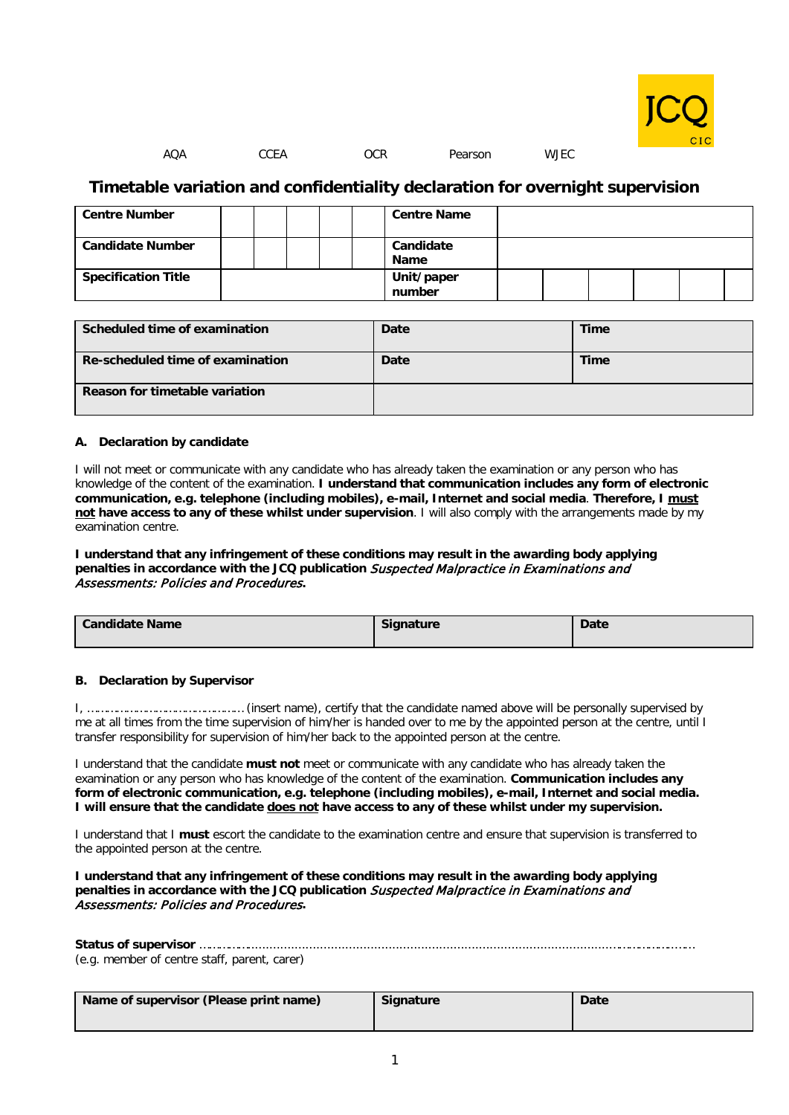

#### AQA CCEA OCR Pearson WJEC

## **Timetable variation and confidentiality declaration for overnight supervision**

| <b>Centre Number</b>       |  |  | <b>Centre Name</b>   |  |  |  |
|----------------------------|--|--|----------------------|--|--|--|
| <b>Candidate Number</b>    |  |  | Candidate<br>Name    |  |  |  |
| <b>Specification Title</b> |  |  | Unit/paper<br>number |  |  |  |

| Scheduled time of examination    | Date | Time |
|----------------------------------|------|------|
| Re-scheduled time of examination | Date | Time |
| Reason for timetable variation   |      |      |

#### **A. Declaration by candidate**

I will not meet or communicate with any candidate who has already taken the examination or any person who has knowledge of the content of the examination. **I understand that communication includes any form of electronic communication, e.g. telephone (including mobiles), e-mail, Internet and social media**. **Therefore, I must not have access to any of these whilst under supervision**. I will also comply with the arrangements made by my examination centre.

**I understand that any infringement of these conditions may result in the awarding body applying penalties in accordance with the JCQ publication** Suspected Malpractice in Examinations and Assessments: Policies and Procedures**.**

| <b>Candidate Name</b> | <b>Signature</b> | <b>Date</b> |
|-----------------------|------------------|-------------|
|                       |                  |             |

### **B. Declaration by Supervisor**

I, ………………………………………… (insert name), certify that the candidate named above will be personally supervised by me at all times from the time supervision of him/her is handed over to me by the appointed person at the centre, until I transfer responsibility for supervision of him/her back to the appointed person at the centre.

I understand that the candidate **must not** meet or communicate with any candidate who has already taken the examination or any person who has knowledge of the content of the examination. **Communication includes any form of electronic communication, e.g. telephone (including mobiles), e-mail, Internet and social media. I will ensure that the candidate does not have access to any of these whilst under my supervision.**

I understand that I **must** escort the candidate to the examination centre and ensure that supervision is transferred to the appointed person at the centre.

**I understand that any infringement of these conditions may result in the awarding body applying**  penalties in accordance with the JCQ publication *Suspected Malpractice in Examinations and* Assessments: Policies and Procedures**.**

| (e.g. member of centre staff, parent, carer) |  |
|----------------------------------------------|--|

| Name of supervisor (Please print name) | <b>Signature</b> | <b>Date</b> |
|----------------------------------------|------------------|-------------|
|                                        |                  |             |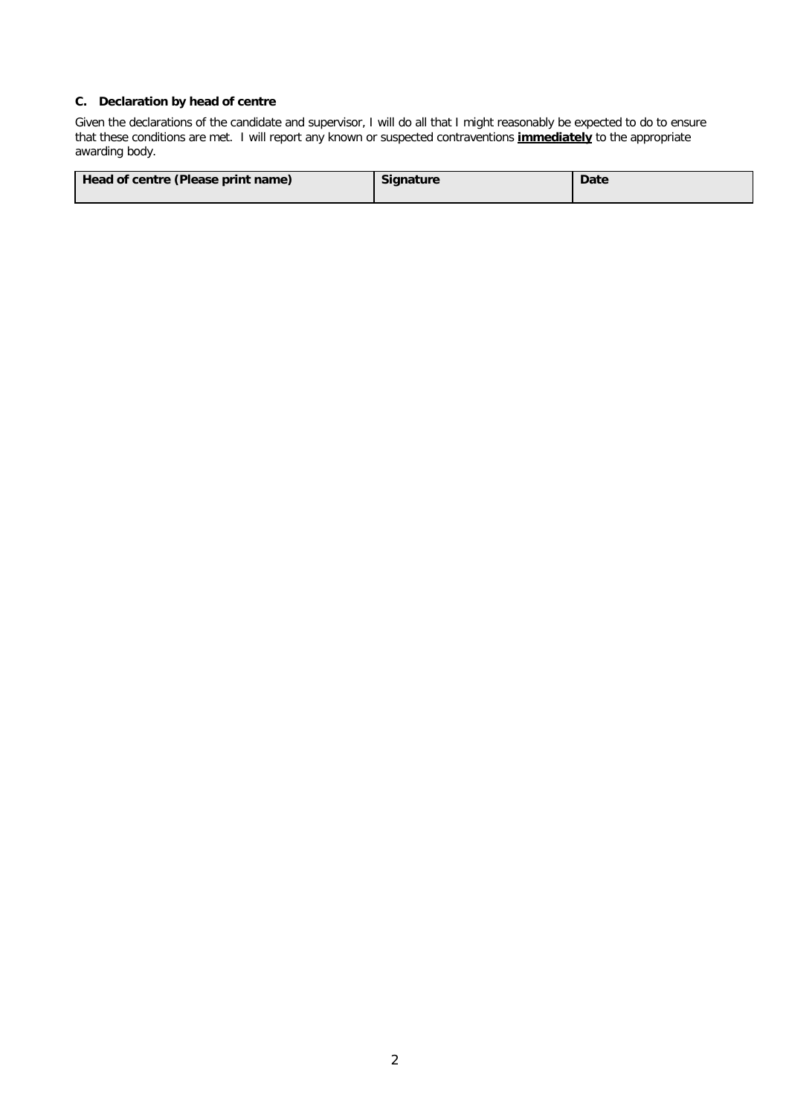## **C. Declaration by head of centre**

Given the declarations of the candidate and supervisor, I will do all that I might reasonably be expected to do to ensure that these conditions are met. I will report any known or suspected contraventions **immediately** to the appropriate awarding body.

| Head of centre (Please print name) | <b>Signature</b> | <b>Date</b> |
|------------------------------------|------------------|-------------|
|                                    |                  |             |